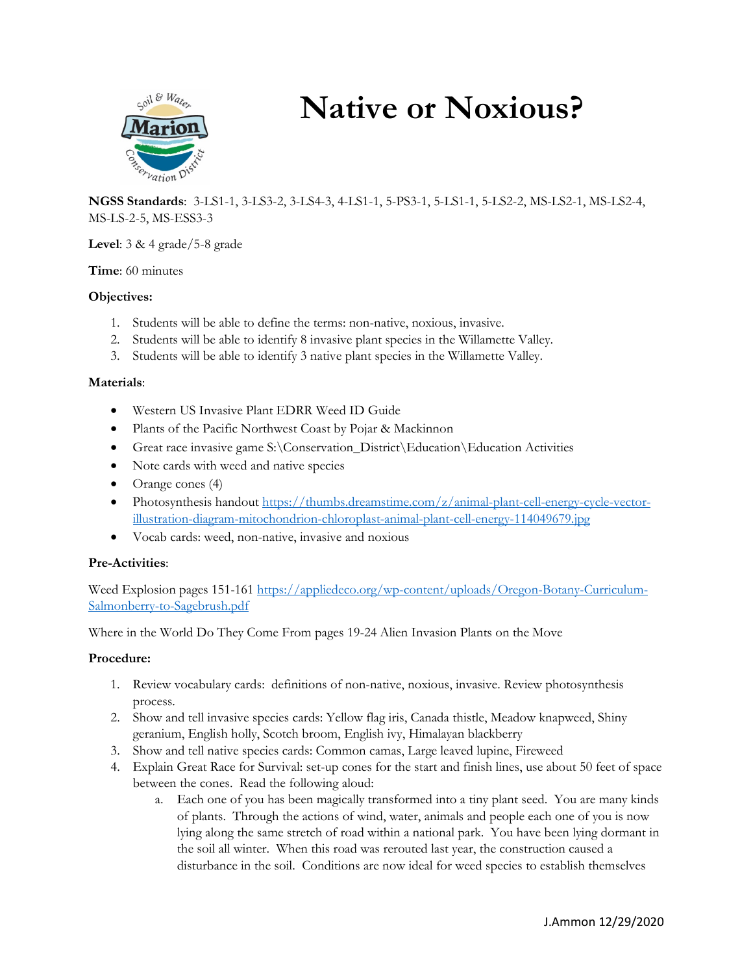

# **Native or Noxious?**

**NGSS Standards**: 3-LS1-1, 3-LS3-2, 3-LS4-3, 4-LS1-1, 5-PS3-1, 5-LS1-1, 5-LS2-2, MS-LS2-1, MS-LS2-4, MS-LS-2-5, MS-ESS3-3

**Level**: 3 & 4 grade/5-8 grade

## **Time**: 60 minutes

## **Objectives:**

- 1. Students will be able to define the terms: non-native, noxious, invasive.
- 2. Students will be able to identify 8 invasive plant species in the Willamette Valley.
- 3. Students will be able to identify 3 native plant species in the Willamette Valley.

## **Materials**:

- Western US Invasive Plant EDRR Weed ID Guide
- Plants of the Pacific Northwest Coast by Pojar & Mackinnon
- Great race invasive game S:\Conservation\_District\Education\Education Activities
- Note cards with weed and native species
- Orange cones (4)
- Photosynthesis handout [https://thumbs.dreamstime.com/z/animal-plant-cell-energy-cycle-vector](https://thumbs.dreamstime.com/z/animal-plant-cell-energy-cycle-vector-illustration-diagram-mitochondrion-chloroplast-animal-plant-cell-energy-114049679.jpg)[illustration-diagram-mitochondrion-chloroplast-animal-plant-cell-energy-114049679.jpg](https://thumbs.dreamstime.com/z/animal-plant-cell-energy-cycle-vector-illustration-diagram-mitochondrion-chloroplast-animal-plant-cell-energy-114049679.jpg)
- Vocab cards: weed, non-native, invasive and noxious

#### **Pre-Activities**:

Weed Explosion pages 151-161 [https://appliedeco.org/wp-content/uploads/Oregon-Botany-Curriculum-](https://appliedeco.org/wp-content/uploads/Oregon-Botany-Curriculum-Salmonberry-to-Sagebrush.pdf)[Salmonberry-to-Sagebrush.pdf](https://appliedeco.org/wp-content/uploads/Oregon-Botany-Curriculum-Salmonberry-to-Sagebrush.pdf)

Where in the World Do They Come From pages 19-24 Alien Invasion Plants on the Move

#### **Procedure:**

- 1. Review vocabulary cards: definitions of non-native, noxious, invasive. Review photosynthesis process.
- 2. Show and tell invasive species cards: Yellow flag iris, Canada thistle, Meadow knapweed, Shiny geranium, English holly, Scotch broom, English ivy, Himalayan blackberry
- 3. Show and tell native species cards: Common camas, Large leaved lupine, Fireweed
- 4. Explain Great Race for Survival: set-up cones for the start and finish lines, use about 50 feet of space between the cones. Read the following aloud:
	- a. Each one of you has been magically transformed into a tiny plant seed. You are many kinds of plants. Through the actions of wind, water, animals and people each one of you is now lying along the same stretch of road within a national park. You have been lying dormant in the soil all winter. When this road was rerouted last year, the construction caused a disturbance in the soil. Conditions are now ideal for weed species to establish themselves